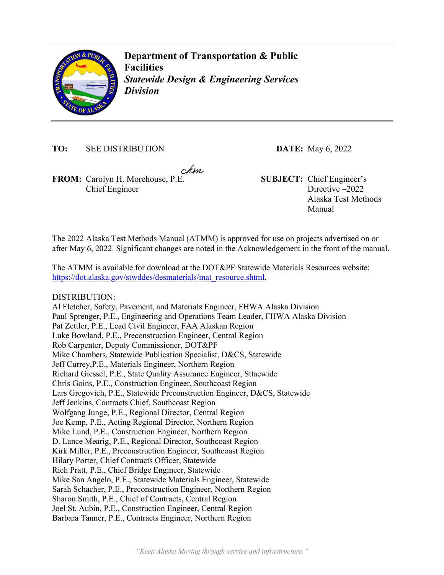

**Department of Transportation & Public Facilities**  *Statewide Design & Engineering Services Division* 

**TO:** SEE DISTRIBUTION **DATE:** May 6, 2022

chm

**FROM:** Carolyn H. Morehouse, P.E. **SUBJECT:** Chief Engineer's Chief Engineer

Directive –2022 Alaska Test Methods Manual

The 2022 Alaska Test Methods Manual (ATMM) is approved for use on projects advertised on or after May 6, 2022. Significant changes are noted in the Acknowledgement in the front of the manual.

The ATMM is available for download at the DOT&PF Statewide Materials Resources website: https://dot.alaska.gov/stwddes/desmaterials/mat\_resource.shtml.

DISTRIBUTION:

Al Fletcher, Safety, Pavement, and Materials Engineer, FHWA Alaska Division Paul Sprenger, P.E., Engineering and Operations Team Leader, FHWA Alaska Division Pat Zettler, P.E., Lead Civil Engineer, FAA Alaskan Region Luke Bowland, P.E., Preconstruction Engineer, Central Region Rob Carpenter, Deputy Commissioner, DOT&PF Mike Chambers, Statewide Publication Specialist, D&CS, Statewide Jeff Currey,P.E., Materials Engineer, Northern Region Richard Giessel, P.E., State Quality Assurance Engineer, Sttaewide Chris Goins, P.E., Construction Engineer, Southcoast Region Lars Gregovich, P.E., Statewide Preconstruction Engineer, D&CS, Statewide Jeff Jenkins, Contracts Chief, Southcoast Region Wolfgang Junge, P.E., Regional Director, Central Region Joe Kemp, P.E., Acting Regional Director, Northern Region Mike Lund, P.E., Construction Engineer, Northern Region D. Lance Mearig, P.E., Regional Director, Southcoast Region Kirk Miller, P.E., Preconstruction Engineer, Southcoast Region Hilary Porter, Chief Contracts Officer, Statewide Rich Pratt, P.E., Chief Bridge Engineer, Statewide Mike San Angelo, P.E., Statewide Materials Engineer, Statewide Sarah Schacher, P.E., Preconstruction Engineer, Northern Region Sharon Smith, P.E., Chief of Contracts, Central Region Joel St. Aubin, P.E., Construction Engineer, Central Region Barbara Tanner, P.E., Contracts Engineer, Northern Region